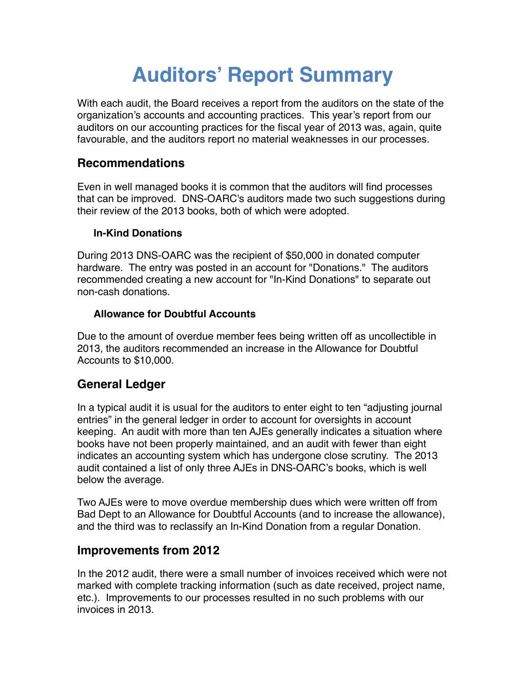# **Auditors' Report Summary**

With each audit, the Board receives a report from the auditors on the state of the organization's accounts and accounting practices. This year's report from our auditors on our accounting practices for the fiscal year of 2013 was, again, quite favourable, and the auditors report no material weaknesses in our processes.

## **Recommendations**

Even in well managed books it is common that the auditors will find processes that can be improved. DNS-OARC's auditors made two such suggestions during their review of the 2013 books, both of which were adopted.

#### **In-Kind Donations**

During 2013 DNS-OARC was the recipient of \$50,000 in donated computer hardware. The entry was posted in an account for "Donations." The auditors recommended creating a new account for "In-Kind Donations" to separate out non-cash donations.

#### **Allowance for Doubtful Accounts**

Due to the amount of overdue member fees being written off as uncollectible in 2013, the auditors recommended an increase in the Allowance for Doubtful Accounts to \$10,000.

## **General Ledger**

In a typical audit it is usual for the auditors to enter eight to ten "adjusting journal entries" in the general ledger in order to account for oversights in account keeping. An audit with more than ten AJEs generally indicates a situation where books have not been properly maintained, and an audit with fewer than eight indicates an accounting system which has undergone close scrutiny. The 2013 audit contained a list of only three AJEs in DNS-OARC's books, which is well below the average.

Two AJEs were to move overdue membership dues which were written off from Bad Dept to an Allowance for Doubtful Accounts (and to increase the allowance), and the third was to reclassify an In-Kind Donation from a regular Donation.

## **Improvements from 2012**

In the 2012 audit, there were a small number of invoices received which were not marked with complete tracking information (such as date received, project name, etc.). Improvements to our processes resulted in no such problems with our invoices in 2013.